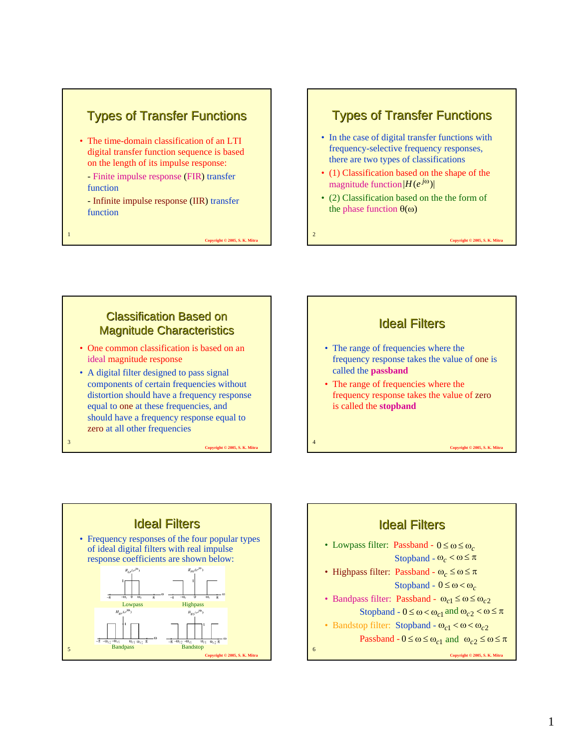### **Types of Transfer Functions**

- The time-domain classification of an LTI digital transfer function sequence is based on the length of its impulse response:
	- Finite impulse response (FIR) transfer function
	- Infinite impulse response (IIR) transfer function

1

3

**Copyright © 2005, S. K. Mit** 

2

#### **Types of Transfer Functions**

- In the case of digital transfer functions with frequency-selective frequency responses, there are two types of classifications
- (1) Classification based on the shape of the  $\text{magnitude function} |H(e^{j\omega})|$
- (2) Classification based on the the form of the phase function  $θ(ω)$

**Copyright © 2005, S. K. Mit** 

**Classification Based on Magnitude Characteristics** 

- One common classification is based on an ideal magnitude response
- A digital filter designed to pass signal components of certain frequencies without distortion should have a frequency response equal to one at these frequencies, and should have a frequency response equal to zero at all other frequencies





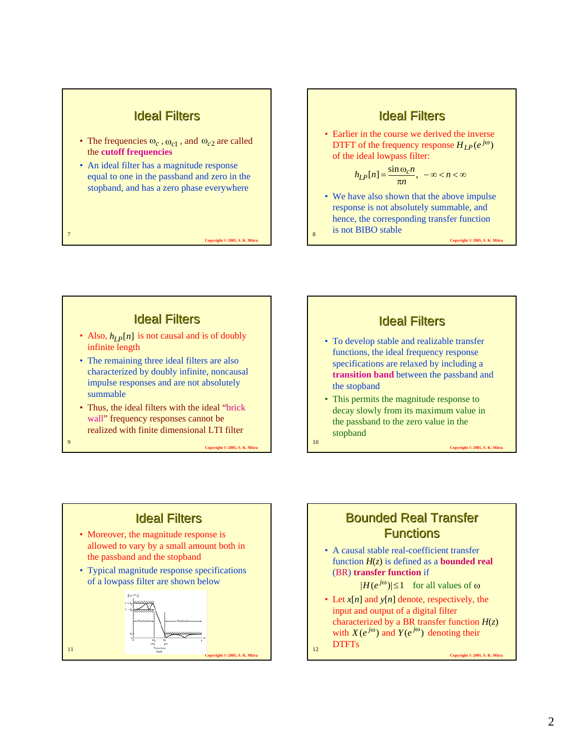#### **Ideal Filters**

- The frequencies  $\omega_c$ ,  $\omega_{c1}$ , and  $\omega_{c2}$  are called the **cutoff frequencies**
- An ideal filter has a magnitude response equal to one in the passband and zero in the stopband, and has a zero phase everywhere

7

9

**Copyright © 2005, S. K. Mitra**

8

10

#### **Ideal Filters**

• Earlier in the course we derived the inverse DTFT of the frequency response  $H_{LP}(e^{j\omega})$ of the ideal lowpass filter:

$$
h_{LP}[n] = \frac{\sin \omega_c n}{\pi n}, \ -\infty < n < \infty
$$

• We have also shown that the above impulse response is not absolutely summable, and hence, the corresponding transfer function is not BIBO stable

**Copyright © 2005, S. K. Mitra**

#### **Ideal Filters**

- Also,  $h_{LP}[n]$  is not causal and is of doubly infinite length
- The remaining three ideal filters are also characterized by doubly infinite, noncausal impulse responses and are not absolutely summable
- Thus, the ideal filters with the ideal "brick wall" frequency responses cannot be realized with finite dimensional LTI filter

**Copyright © 2005, S. K. Mitra**



- To develop stable and realizable transfer functions, the ideal frequency response specifications are relaxed by including a **transition band** between the passband and the stopband
- This permits the magnitude response to decay slowly from its maximum value in the passband to the zero value in the stopband

**Ideal Filters** • Moreover, the magnitude response is allowed to vary by a small amount both in the passband and the stopband

• Typical magnitude response specifications of a lowpass filter are shown below



### **Bounded Real Transfer Functions**

• A causal stable real-coefficient transfer function  $H(z)$  is defined as a **bounded real** (BR) **transfer function** if

 $| H ( e^{j\omega} ) | \leq 1$  for all values of  $\omega$ 

• Let *x*[*n*] and *y*[*n*] denote, respectively, the input and output of a digital filter characterized by a BR transfer function  $H(z)$ with  $X(e^{j\omega})$  and  $Y(e^{j\omega})$  denoting their DTFTs

12

**Copyright © 2005, S. K. Mitra**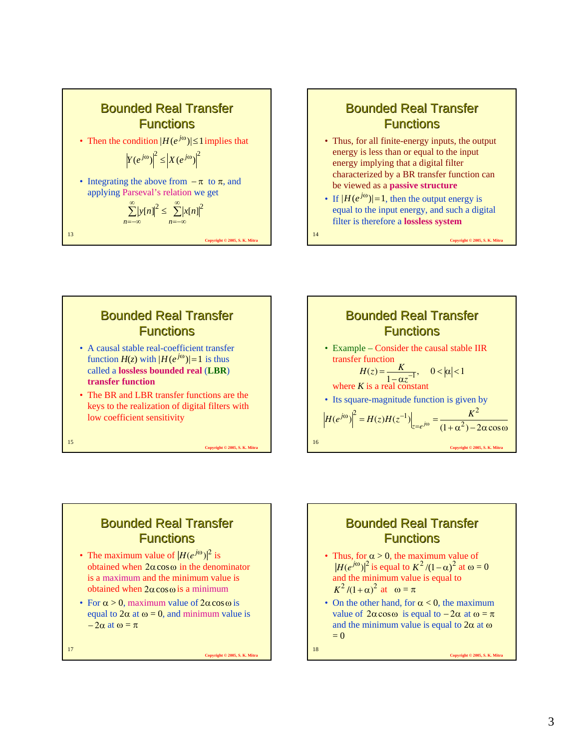

### **Bounded Real Transfer Functions**

- Thus, for all finite-energy inputs, the output energy is less than or equal to the input energy implying that a digital filter characterized by a BR transfer function can be viewed as a **passive structure**
- If  $|H(e^{j\omega})|=1$ , then the output energy is equal to the input energy, and such a digital filter is therefore a **lossless system**

**Copyright © 2005, S. K. Mit** 

14

# **Bounded Real Transfer Functions** • A causal stable real-coefficient transfer

- function  $H(z)$  with  $|H(e^{j\omega})|=1$  is thus called a **lossless bounded real** (**LBR**) **transfer function**
- The BR and LBR transfer functions are the keys to the realization of digital filters with low coefficient sensitivity



## **Bounded Real Transfer Functions**

- The maximum value of  $|H(e^{j\omega})|^2$  is obtained when  $2α cos ω$  in the denominator is a maximum and the minimum value is obtained when  $2\alpha \cos \omega$  is a minimum
- For  $\alpha > 0$ , maximum value of  $2\alpha \cos \omega$  is equal to  $2\alpha$  at  $\omega = 0$ , and minimum value is  $-2\alpha$  at  $\omega = \pi$

17

15

**Copyright © 2005, S. K. Mitra**

**Copyright © 2005, S. K. Mitra**

## **Bounded Real Transfer Functions**

- Thus, for  $\alpha > 0$ , the maximum value of  $\left| H(e^{j\omega}) \right|^2$  is equal to  $K^2 / (1 - \alpha)^2$  at  $\omega = 0$  $\mu$  (e)  $\mu$  is equal to  $\mu$  is equal to  $K^2/(1+\alpha)^2$  at  $\omega = \pi$
- On the other hand, for  $\alpha < 0$ , the maximum value of  $2\alpha \cos \omega$  is equal to  $-2\alpha$  at  $\omega = \pi$ and the minimum value is equal to  $2\alpha$  at  $\omega$  $= 0$

18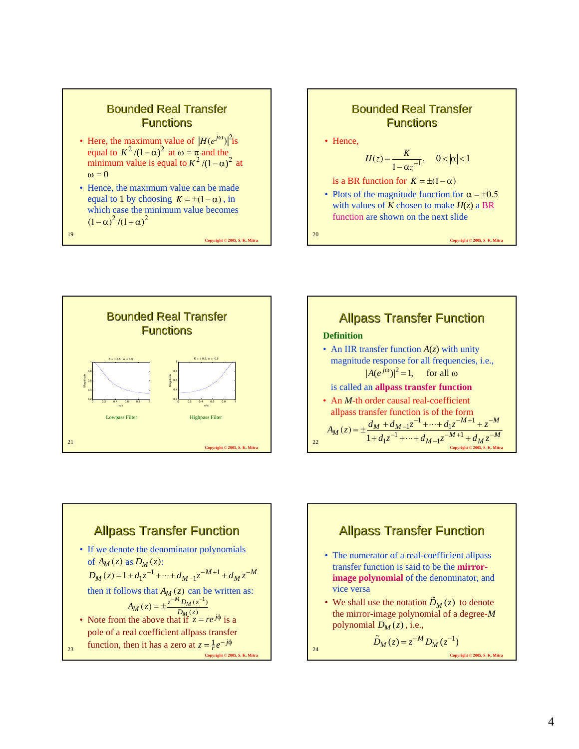

**Copyright © 2005, S. K. Mitra**



19









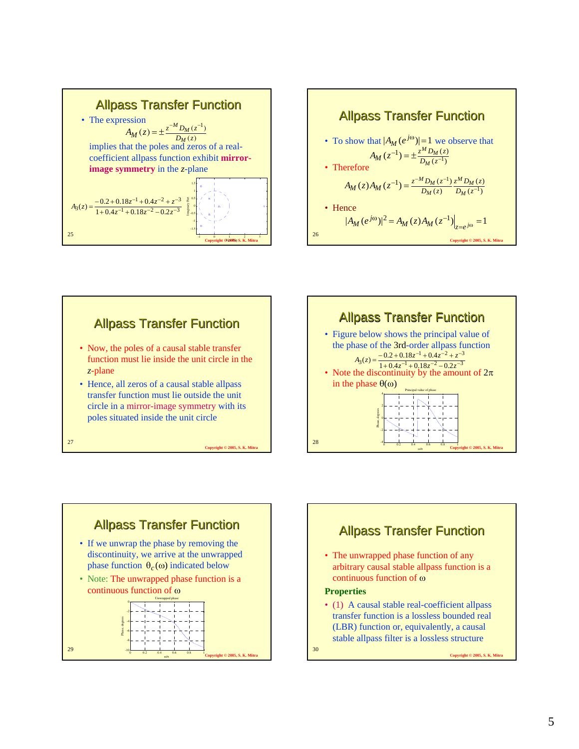











• (1) A causal stable real-coefficient allpass transfer function is a lossless bounded real (LBR) function or, equivalently, a causal stable allpass filter is a lossless structure

30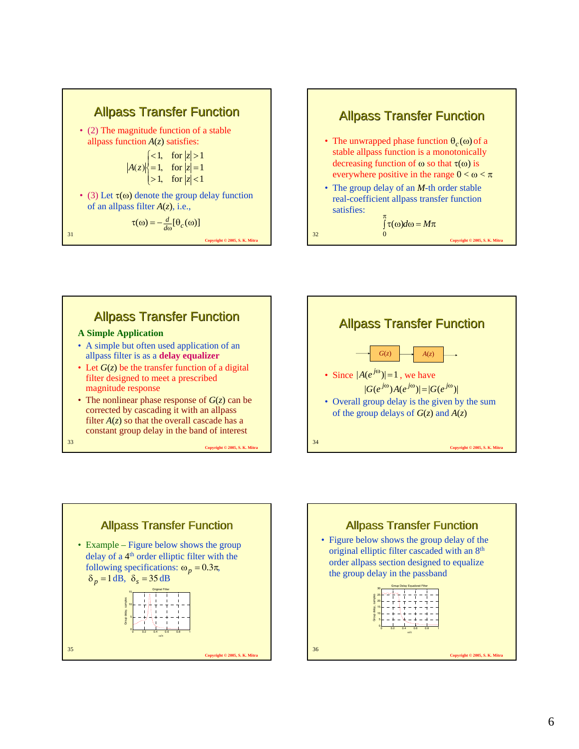







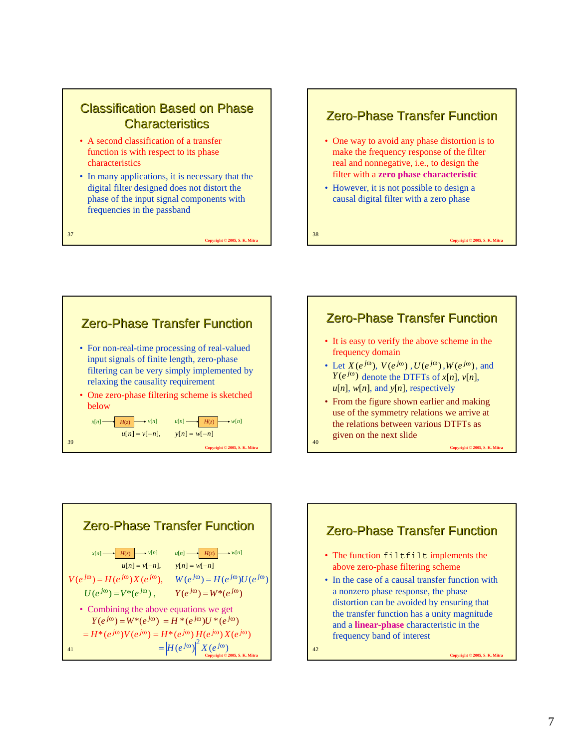### **Classification Based on Phase Characteristics**

• A second classification of a transfer function is with respect to its phase characteristics

37

• In many applications, it is necessary that the digital filter designed does not distort the phase of the input signal components with frequencies in the passband

**Copyright © 2005, S. K. Mitra**

38

 $40<sup>4</sup>$ 

#### **Zero-Phase Transfer Function**

- One way to avoid any phase distortion is to make the frequency response of the filter real and nonnegative, i.e., to design the filter with a **zero phase characteristic**
- However, it is not possible to design a causal digital filter with a zero phase

**Copyright © 2005, S. K. Mitra**





- It is easy to verify the above scheme in the frequency domain
- Let  $X(e^{j\omega})$ ,  $V(e^{j\omega})$ ,  $U(e^{j\omega})$ ,  $W(e^{j\omega})$ , and  $Y(e^{j\omega})$  denote the DTFTs of  $x[n]$ ,  $v[n]$ ,  $u[n]$ ,  $w[n]$ , and  $y[n]$ , respectively
- From the figure shown earlier and making use of the symmetry relations we arrive at the relations between various DTFTs as given on the next slide



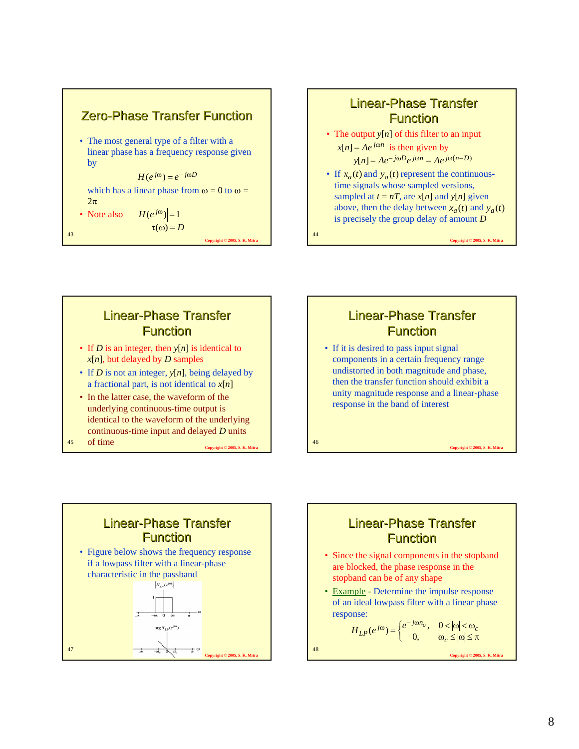

# Linear-Phase Transfer **Function**

- The output *y*[*n*] of this filter to an input  $x[n] = Ae^{j\omega n}$  is then given by  $y[n] = Ae^{-j\omega D}e^{j\omega n} = Ae^{j\omega(n-D)}$
- If  $x_a(t)$  and  $y_a(t)$  represent the continuoustime signals whose sampled versions, sampled at  $t = nT$ , are  $x[n]$  and  $y[n]$  given above, then the delay between  $x_a(t)$  and  $y_a(t)$ is precisely the group delay of amount *D*

**Copyright © 2005, S. K. Mit** 

## Linear-Phase Transfer **Function**

- If *D* is an integer, then *y*[*n*] is identical to *x*[*n*], but delayed by *D* samples
- If *D* is not an integer, *y*[*n*], being delayed by a fractional part, is not identical to *x*[*n*]
- In the latter case, the waveform of the underlying continuous-time output is identical to the waveform of the underlying continuous-time input and delayed *D* units

**Copyright © 2005, S. K. Mitra**

45 Of time and the Copyright © 2005, S. K. Mitra and the Copyright © 2005, S. K. Mitra and the Copyright © 2005, S. K. Mitra and the Copyright © 2005, S. K. Mitra and the Copyright © 2005, S. K. Mitra and the Copyright © 200

## Linear-Phase Transfer **Function**

• If it is desired to pass input signal components in a certain frequency range undistorted in both magnitude and phase, then the transfer function should exhibit a unity magnitude response and a linear-phase response in the band of interest

48

# **Linear-Phase Transfer Function** • Figure below shows the frequency response if a lowpass filter with a linear-phase characteristic in the passband  $H_{LP}(e^{j\omega})$  $\arg H_{IB}(e)$ 47 **Copyright © 2005, S. K. Mitra**

## Linear-Phase Transfer **Function**

- Since the signal components in the stopband are blocked, the phase response in the stopband can be of any shape
- Example Determine the impulse response of an ideal lowpass filter with a linear phase response:

$$
H_{LP}(e^{j\omega}) = \begin{cases} e^{-j\omega n_o}, & 0 < |\omega| < \omega_c \\ 0, & \omega_c \le |\omega| \le \pi \end{cases}
$$

8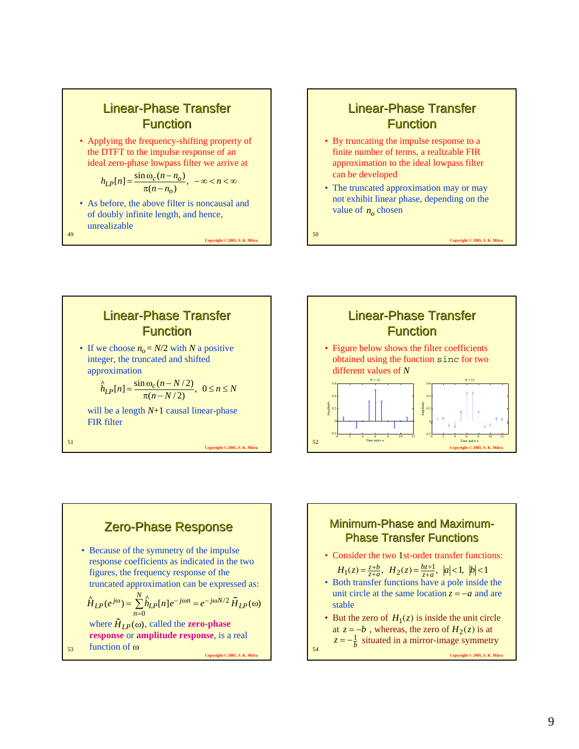

### **Linear-Phase Transfer Function**

- By truncating the impulse response to a finite number of terms, a realizable FIR approximation to the ideal lowpass filter can be developed
- The truncated approximation may or may not exhibit linear phase, depending on the value of  $n_0$  chosen

**Copyright © 2005, S. K. Mitra**

50

54











 $H_1(z) = \frac{z+b}{z+a}, H_2(z) = \frac{bz+1}{z+a}, |a| < 1, |b| < 1$ 

- Both transfer functions have a pole inside the unit circle at the same location  $z = -a$  and are stable
- But the zero of  $H_1(z)$  is inside the unit circle at  $z = -b$ , whereas, the zero of  $H_2(z)$  is at  $z = -\frac{1}{b}$  situated in a mirror-image symmetry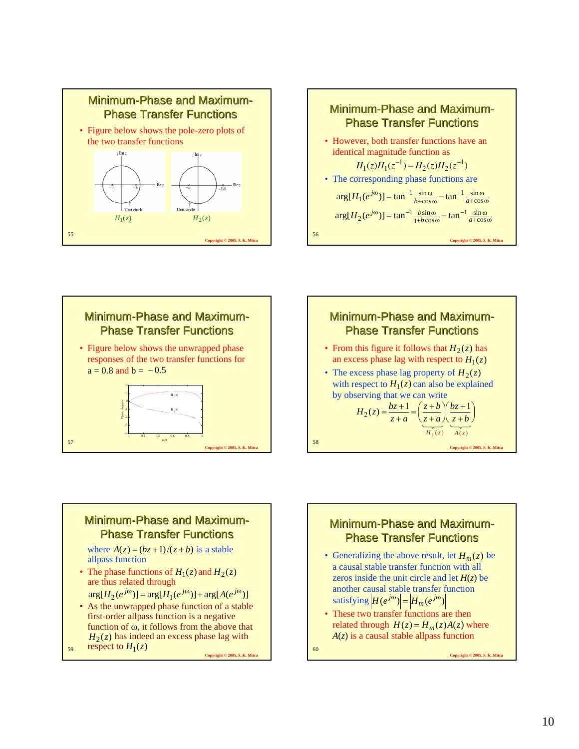







#### Minimum-Phase and Maximum-**Phase Transfer Functions**

where  $A(z) = (bz + 1)/(z + b)$  is a stable allpass function

• The phase functions of  $H_1(z)$  and  $H_2(z)$ are thus related through

 $arg[H_2(e^{j\omega})] = arg[H_1(e^{j\omega})] + arg[A(e^{j\omega})]$ 

• As the unwrapped phase function of a stable first-order allpass function is a negative function of ω, it follows from the above that  $H_2(z)$  has indeed an excess phase lag with respect to  $H_1(z)$  $H_1(z)$  60

59

**Copyright © 2005, S. K. Mitra**

#### Minimum-Phase and Maximum-**Phase Transfer Functions**

- Generalizing the above result, let  $H_m(z)$  be a causal stable transfer function with all zeros inside the unit circle and let  $H(z)$  be another causal stable transfer function satisfying  $|H(e^{j\omega})| = |H_m(e^{j\omega})|$
- These two transfer functions are then related through  $H(z) = H_m(z)A(z)$  where *A*(*z*) is a causal stable allpass function